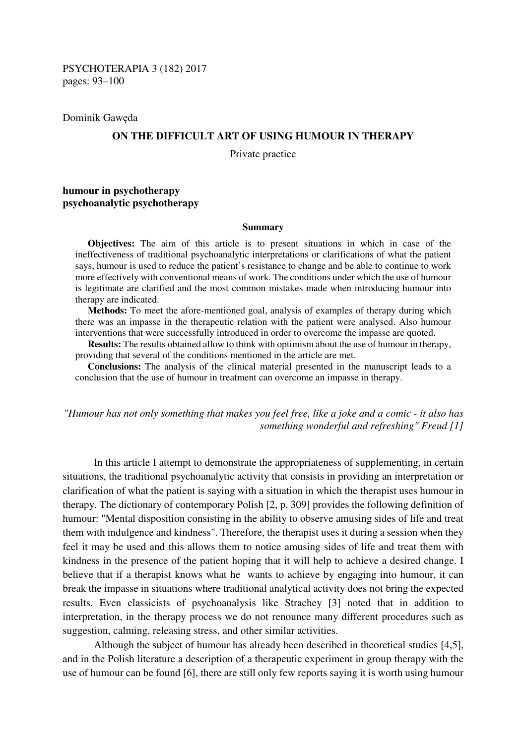PSYCHOTERAPIA 3 (182) 2017 pages: 93–100

Dominik Gawęda

#### **ON THE DIFFICULT ART OF USING HUMOUR IN THERAPY**

Private practice

# **humour in psychotherapy psychoanalytic psychotherapy**

#### **Summary**

**Objectives:** The aim of this article is to present situations in which in case of the ineffectiveness of traditional psychoanalytic interpretations or clarifications of what the patient says, humour is used to reduce the patient's resistance to change and be able to continue to work more effectively with conventional means of work. The conditions under which the use of humour is legitimate are clarified and the most common mistakes made when introducing humour into therapy are indicated.

**Methods:** To meet the afore-mentioned goal, analysis of examples of therapy during which there was an impasse in the therapeutic relation with the patient were analysed. Also humour interventions that were successfully introduced in order to overcome the impasse are quoted.

**Results:** The results obtained allow to think with optimism about the use of humour in therapy, providing that several of the conditions mentioned in the article are met.

**Conclusions:** The analysis of the clinical material presented in the manuscript leads to a conclusion that the use of humour in treatment can overcome an impasse in therapy.

*"Humour has not only something that makes you feel free, like a joke and a comic - it also has something wonderful and refreshing" Freud [1]* 

In this article I attempt to demonstrate the appropriateness of supplementing, in certain situations, the traditional psychoanalytic activity that consists in providing an interpretation or clarification of what the patient is saying with a situation in which the therapist uses humour in therapy. The dictionary of contemporary Polish [2, p. 309] provides the following definition of humour: "Mental disposition consisting in the ability to observe amusing sides of life and treat them with indulgence and kindness". Therefore, the therapist uses it during a session when they feel it may be used and this allows them to notice amusing sides of life and treat them with kindness in the presence of the patient hoping that it will help to achieve a desired change. I believe that if a therapist knows what he wants to achieve by engaging into humour, it can break the impasse in situations where traditional analytical activity does not bring the expected results. Even classicists of psychoanalysis like Strachey [3] noted that in addition to interpretation, in the therapy process we do not renounce many different procedures such as suggestion, calming, releasing stress, and other similar activities.

Although the subject of humour has already been described in theoretical studies [4,5], and in the Polish literature a description of a therapeutic experiment in group therapy with the use of humour can be found [6], there are still only few reports saying it is worth using humour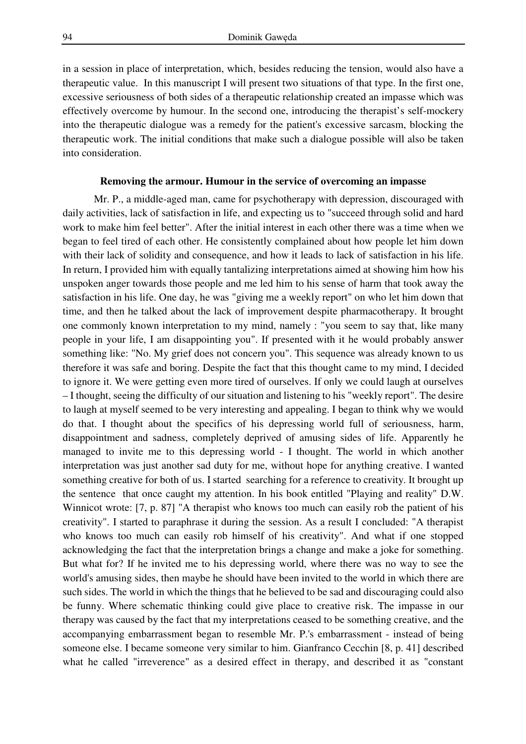in a session in place of interpretation, which, besides reducing the tension, would also have a therapeutic value. In this manuscript I will present two situations of that type. In the first one, excessive seriousness of both sides of a therapeutic relationship created an impasse which was effectively overcome by humour. In the second one, introducing the therapist's self-mockery into the therapeutic dialogue was a remedy for the patient's excessive sarcasm, blocking the therapeutic work. The initial conditions that make such a dialogue possible will also be taken into consideration.

# **Removing the armour. Humour in the service of overcoming an impasse**

Mr. P., a middle-aged man, came for psychotherapy with depression, discouraged with daily activities, lack of satisfaction in life, and expecting us to "succeed through solid and hard work to make him feel better". After the initial interest in each other there was a time when we began to feel tired of each other. He consistently complained about how people let him down with their lack of solidity and consequence, and how it leads to lack of satisfaction in his life. In return, I provided him with equally tantalizing interpretations aimed at showing him how his unspoken anger towards those people and me led him to his sense of harm that took away the satisfaction in his life. One day, he was "giving me a weekly report" on who let him down that time, and then he talked about the lack of improvement despite pharmacotherapy. It brought one commonly known interpretation to my mind, namely : "you seem to say that, like many people in your life, I am disappointing you". If presented with it he would probably answer something like: "No. My grief does not concern you". This sequence was already known to us therefore it was safe and boring. Despite the fact that this thought came to my mind, I decided to ignore it. We were getting even more tired of ourselves. If only we could laugh at ourselves – I thought, seeing the difficulty of our situation and listening to his "weekly report". The desire to laugh at myself seemed to be very interesting and appealing. I began to think why we would do that. I thought about the specifics of his depressing world full of seriousness, harm, disappointment and sadness, completely deprived of amusing sides of life. Apparently he managed to invite me to this depressing world - I thought. The world in which another interpretation was just another sad duty for me, without hope for anything creative. I wanted something creative for both of us. I started searching for a reference to creativity. It brought up the sentence that once caught my attention. In his book entitled "Playing and reality" D.W. Winnicot wrote: [7, p. 87] "A therapist who knows too much can easily rob the patient of his creativity". I started to paraphrase it during the session. As a result I concluded: "A therapist who knows too much can easily rob himself of his creativity". And what if one stopped acknowledging the fact that the interpretation brings a change and make a joke for something. But what for? If he invited me to his depressing world, where there was no way to see the world's amusing sides, then maybe he should have been invited to the world in which there are such sides. The world in which the things that he believed to be sad and discouraging could also be funny. Where schematic thinking could give place to creative risk. The impasse in our therapy was caused by the fact that my interpretations ceased to be something creative, and the accompanying embarrassment began to resemble Mr. P.'s embarrassment - instead of being someone else. I became someone very similar to him. Gianfranco Cecchin [8, p. 41] described what he called "irreverence" as a desired effect in therapy, and described it as "constant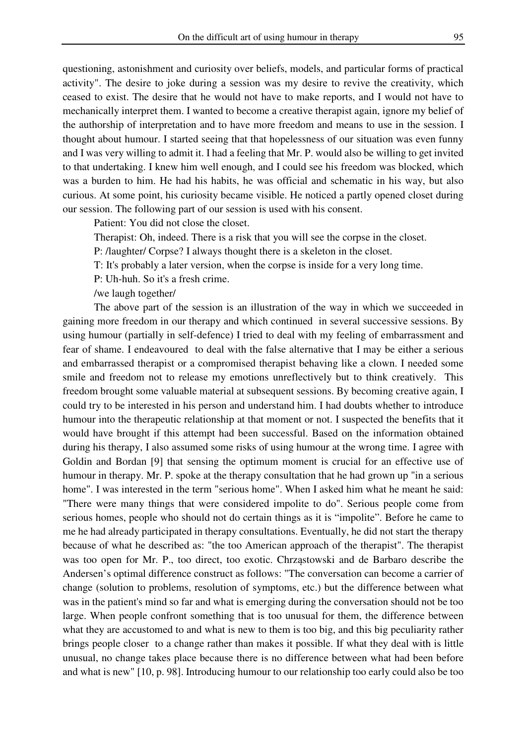questioning, astonishment and curiosity over beliefs, models, and particular forms of practical activity". The desire to joke during a session was my desire to revive the creativity, which ceased to exist. The desire that he would not have to make reports, and I would not have to mechanically interpret them. I wanted to become a creative therapist again, ignore my belief of the authorship of interpretation and to have more freedom and means to use in the session. I thought about humour. I started seeing that that hopelessness of our situation was even funny and I was very willing to admit it. I had a feeling that Mr. P. would also be willing to get invited to that undertaking. I knew him well enough, and I could see his freedom was blocked, which was a burden to him. He had his habits, he was official and schematic in his way, but also curious. At some point, his curiosity became visible. He noticed a partly opened closet during our session. The following part of our session is used with his consent.

Patient: You did not close the closet.

Therapist: Oh, indeed. There is a risk that you will see the corpse in the closet.

P: /laughter/ Corpse? I always thought there is a skeleton in the closet.

T: It's probably a later version, when the corpse is inside for a very long time.

P: Uh-huh. So it's a fresh crime.

/we laugh together/

The above part of the session is an illustration of the way in which we succeeded in gaining more freedom in our therapy and which continued in several successive sessions. By using humour (partially in self-defence) I tried to deal with my feeling of embarrassment and fear of shame. I endeavoured to deal with the false alternative that I may be either a serious and embarrassed therapist or a compromised therapist behaving like a clown. I needed some smile and freedom not to release my emotions unreflectively but to think creatively. This freedom brought some valuable material at subsequent sessions. By becoming creative again, I could try to be interested in his person and understand him. I had doubts whether to introduce humour into the therapeutic relationship at that moment or not. I suspected the benefits that it would have brought if this attempt had been successful. Based on the information obtained during his therapy, I also assumed some risks of using humour at the wrong time. I agree with Goldin and Bordan [9] that sensing the optimum moment is crucial for an effective use of humour in therapy. Mr. P. spoke at the therapy consultation that he had grown up "in a serious home". I was interested in the term "serious home". When I asked him what he meant he said: "There were many things that were considered impolite to do". Serious people come from serious homes, people who should not do certain things as it is "impolite". Before he came to me he had already participated in therapy consultations. Eventually, he did not start the therapy because of what he described as: "the too American approach of the therapist". The therapist was too open for Mr. P., too direct, too exotic. Chrząstowski and de Barbaro describe the Andersen's optimal difference construct as follows: "The conversation can become a carrier of change (solution to problems, resolution of symptoms, etc.) but the difference between what was in the patient's mind so far and what is emerging during the conversation should not be too large. When people confront something that is too unusual for them, the difference between what they are accustomed to and what is new to them is too big, and this big peculiarity rather brings people closer to a change rather than makes it possible. If what they deal with is little unusual, no change takes place because there is no difference between what had been before and what is new" [10, p. 98]. Introducing humour to our relationship too early could also be too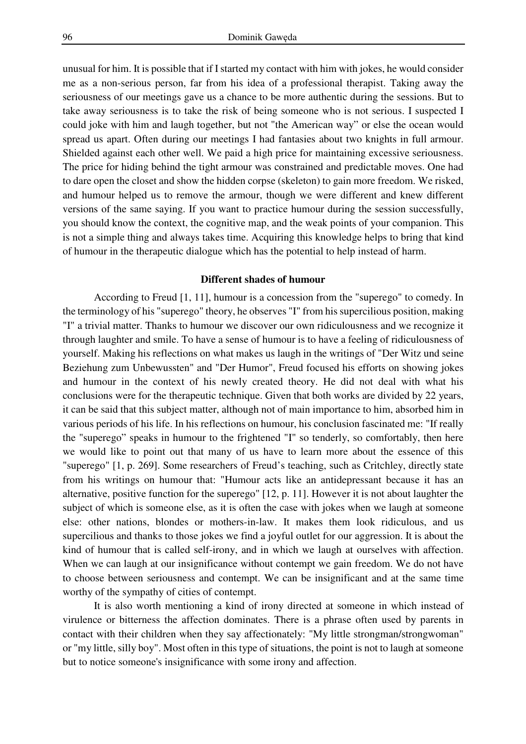unusual for him. It is possible that if I started my contact with him with jokes, he would consider me as a non-serious person, far from his idea of a professional therapist. Taking away the seriousness of our meetings gave us a chance to be more authentic during the sessions. But to take away seriousness is to take the risk of being someone who is not serious. I suspected I could joke with him and laugh together, but not "the American way" or else the ocean would spread us apart. Often during our meetings I had fantasies about two knights in full armour. Shielded against each other well. We paid a high price for maintaining excessive seriousness. The price for hiding behind the tight armour was constrained and predictable moves. One had to dare open the closet and show the hidden corpse (skeleton) to gain more freedom. We risked, and humour helped us to remove the armour, though we were different and knew different versions of the same saying. If you want to practice humour during the session successfully, you should know the context, the cognitive map, and the weak points of your companion. This is not a simple thing and always takes time. Acquiring this knowledge helps to bring that kind of humour in the therapeutic dialogue which has the potential to help instead of harm.

### **Different shades of humour**

According to Freud [1, 11], humour is a concession from the "superego" to comedy. In the terminology of his "superego" theory, he observes "I" from his supercilious position, making "I" a trivial matter. Thanks to humour we discover our own ridiculousness and we recognize it through laughter and smile. To have a sense of humour is to have a feeling of ridiculousness of yourself. Making his reflections on what makes us laugh in the writings of "Der Witz und seine Beziehung zum Unbewussten" and "Der Humor", Freud focused his efforts on showing jokes and humour in the context of his newly created theory. He did not deal with what his conclusions were for the therapeutic technique. Given that both works are divided by 22 years, it can be said that this subject matter, although not of main importance to him, absorbed him in various periods of his life. In his reflections on humour, his conclusion fascinated me: "If really the "superego" speaks in humour to the frightened "I" so tenderly, so comfortably, then here we would like to point out that many of us have to learn more about the essence of this "superego" [1, p. 269]. Some researchers of Freud's teaching, such as Critchley, directly state from his writings on humour that: "Humour acts like an antidepressant because it has an alternative, positive function for the superego" [12, p. 11]. However it is not about laughter the subject of which is someone else, as it is often the case with jokes when we laugh at someone else: other nations, blondes or mothers-in-law. It makes them look ridiculous, and us supercilious and thanks to those jokes we find a joyful outlet for our aggression. It is about the kind of humour that is called self-irony, and in which we laugh at ourselves with affection. When we can laugh at our insignificance without contempt we gain freedom. We do not have to choose between seriousness and contempt. We can be insignificant and at the same time worthy of the sympathy of cities of contempt.

It is also worth mentioning a kind of irony directed at someone in which instead of virulence or bitterness the affection dominates. There is a phrase often used by parents in contact with their children when they say affectionately: "My little strongman/strongwoman" or "my little, silly boy". Most often in this type of situations, the point is not to laugh at someone but to notice someone's insignificance with some irony and affection.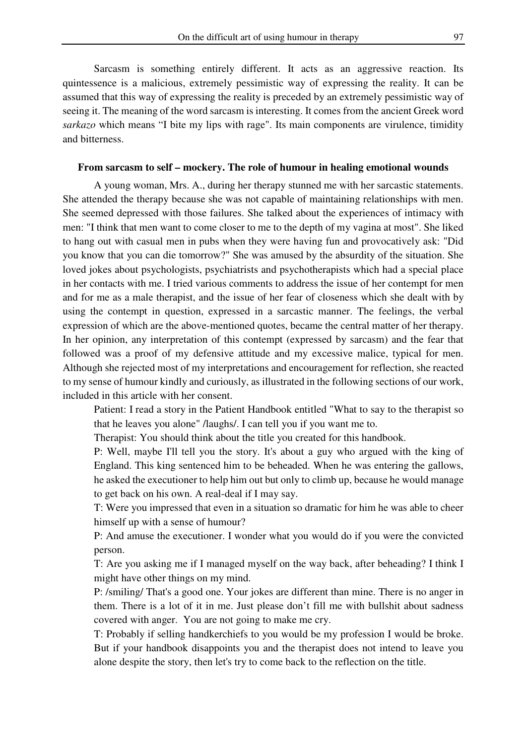Sarcasm is something entirely different. It acts as an aggressive reaction. Its quintessence is a malicious, extremely pessimistic way of expressing the reality. It can be assumed that this way of expressing the reality is preceded by an extremely pessimistic way of seeing it. The meaning of the word sarcasm is interesting. It comes from the ancient Greek word *sarkazo* which means "I bite my lips with rage". Its main components are virulence, timidity and bitterness.

#### **From sarcasm to self – mockery. The role of humour in healing emotional wounds**

A young woman, Mrs. A., during her therapy stunned me with her sarcastic statements. She attended the therapy because she was not capable of maintaining relationships with men. She seemed depressed with those failures. She talked about the experiences of intimacy with men: "I think that men want to come closer to me to the depth of my vagina at most". She liked to hang out with casual men in pubs when they were having fun and provocatively ask: "Did you know that you can die tomorrow?" She was amused by the absurdity of the situation. She loved jokes about psychologists, psychiatrists and psychotherapists which had a special place in her contacts with me. I tried various comments to address the issue of her contempt for men and for me as a male therapist, and the issue of her fear of closeness which she dealt with by using the contempt in question, expressed in a sarcastic manner. The feelings, the verbal expression of which are the above-mentioned quotes, became the central matter of her therapy. In her opinion, any interpretation of this contempt (expressed by sarcasm) and the fear that followed was a proof of my defensive attitude and my excessive malice, typical for men. Although she rejected most of my interpretations and encouragement for reflection, she reacted to my sense of humour kindly and curiously, as illustrated in the following sections of our work, included in this article with her consent.

Patient: I read a story in the Patient Handbook entitled "What to say to the therapist so that he leaves you alone" /laughs/. I can tell you if you want me to.

Therapist: You should think about the title you created for this handbook.

P: Well, maybe I'll tell you the story. It's about a guy who argued with the king of England. This king sentenced him to be beheaded. When he was entering the gallows, he asked the executioner to help him out but only to climb up, because he would manage to get back on his own. A real-deal if I may say.

T: Were you impressed that even in a situation so dramatic for him he was able to cheer himself up with a sense of humour?

P: And amuse the executioner. I wonder what you would do if you were the convicted person.

T: Are you asking me if I managed myself on the way back, after beheading? I think I might have other things on my mind.

P: /smiling/ That's a good one. Your jokes are different than mine. There is no anger in them. There is a lot of it in me. Just please don't fill me with bullshit about sadness covered with anger. You are not going to make me cry.

T: Probably if selling handkerchiefs to you would be my profession I would be broke. But if your handbook disappoints you and the therapist does not intend to leave you alone despite the story, then let's try to come back to the reflection on the title.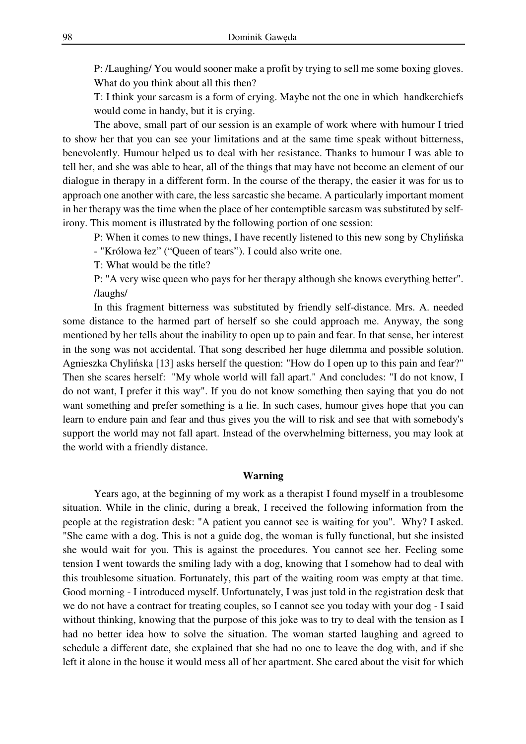P: /Laughing/ You would sooner make a profit by trying to sell me some boxing gloves. What do you think about all this then?

T: I think your sarcasm is a form of crying. Maybe not the one in which handkerchiefs would come in handy, but it is crying.

The above, small part of our session is an example of work where with humour I tried to show her that you can see your limitations and at the same time speak without bitterness, benevolently. Humour helped us to deal with her resistance. Thanks to humour I was able to tell her, and she was able to hear, all of the things that may have not become an element of our dialogue in therapy in a different form. In the course of the therapy, the easier it was for us to approach one another with care, the less sarcastic she became. A particularly important moment in her therapy was the time when the place of her contemptible sarcasm was substituted by selfirony. This moment is illustrated by the following portion of one session:

P: When it comes to new things, I have recently listened to this new song by Chylińska - "Królowa łez" ("Queen of tears"). I could also write one.

T: What would be the title?

P: "A very wise queen who pays for her therapy although she knows everything better". /laughs/

 In this fragment bitterness was substituted by friendly self-distance. Mrs. A. needed some distance to the harmed part of herself so she could approach me. Anyway, the song mentioned by her tells about the inability to open up to pain and fear. In that sense, her interest in the song was not accidental. That song described her huge dilemma and possible solution. Agnieszka Chylińska [13] asks herself the question: "How do I open up to this pain and fear?" Then she scares herself: "My whole world will fall apart." And concludes: "I do not know, I do not want, I prefer it this way". If you do not know something then saying that you do not want something and prefer something is a lie. In such cases, humour gives hope that you can learn to endure pain and fear and thus gives you the will to risk and see that with somebody's support the world may not fall apart. Instead of the overwhelming bitterness, you may look at the world with a friendly distance.

### **Warning**

Years ago, at the beginning of my work as a therapist I found myself in a troublesome situation. While in the clinic, during a break, I received the following information from the people at the registration desk: "A patient you cannot see is waiting for you". Why? I asked. "She came with a dog. This is not a guide dog, the woman is fully functional, but she insisted she would wait for you. This is against the procedures. You cannot see her. Feeling some tension I went towards the smiling lady with a dog, knowing that I somehow had to deal with this troublesome situation. Fortunately, this part of the waiting room was empty at that time. Good morning - I introduced myself. Unfortunately, I was just told in the registration desk that we do not have a contract for treating couples, so I cannot see you today with your dog - I said without thinking, knowing that the purpose of this joke was to try to deal with the tension as I had no better idea how to solve the situation. The woman started laughing and agreed to schedule a different date, she explained that she had no one to leave the dog with, and if she left it alone in the house it would mess all of her apartment. She cared about the visit for which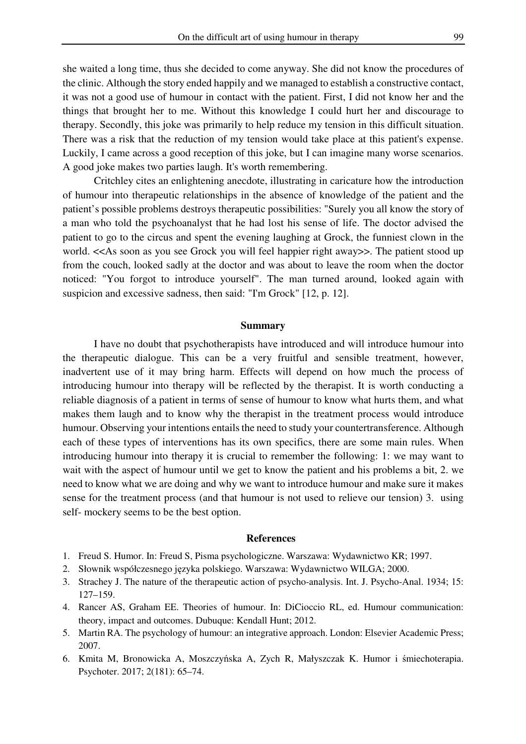she waited a long time, thus she decided to come anyway. She did not know the procedures of the clinic. Although the story ended happily and we managed to establish a constructive contact, it was not a good use of humour in contact with the patient. First, I did not know her and the things that brought her to me. Without this knowledge I could hurt her and discourage to therapy. Secondly, this joke was primarily to help reduce my tension in this difficult situation. There was a risk that the reduction of my tension would take place at this patient's expense. Luckily, I came across a good reception of this joke, but I can imagine many worse scenarios. A good joke makes two parties laugh. It's worth remembering.

Critchley cites an enlightening anecdote, illustrating in caricature how the introduction of humour into therapeutic relationships in the absence of knowledge of the patient and the patient's possible problems destroys therapeutic possibilities: "Surely you all know the story of a man who told the psychoanalyst that he had lost his sense of life. The doctor advised the patient to go to the circus and spent the evening laughing at Grock, the funniest clown in the world. <<As soon as you see Grock you will feel happier right away>>. The patient stood up from the couch, looked sadly at the doctor and was about to leave the room when the doctor noticed: "You forgot to introduce yourself". The man turned around, looked again with suspicion and excessive sadness, then said: "I'm Grock" [12, p. 12].

### **Summary**

I have no doubt that psychotherapists have introduced and will introduce humour into the therapeutic dialogue. This can be a very fruitful and sensible treatment, however, inadvertent use of it may bring harm. Effects will depend on how much the process of introducing humour into therapy will be reflected by the therapist. It is worth conducting a reliable diagnosis of a patient in terms of sense of humour to know what hurts them, and what makes them laugh and to know why the therapist in the treatment process would introduce humour. Observing your intentions entails the need to study your countertransference. Although each of these types of interventions has its own specifics, there are some main rules. When introducing humour into therapy it is crucial to remember the following: 1: we may want to wait with the aspect of humour until we get to know the patient and his problems a bit, 2. we need to know what we are doing and why we want to introduce humour and make sure it makes sense for the treatment process (and that humour is not used to relieve our tension) 3. using self- mockery seems to be the best option.

## **References**

- 1. Freud S. Humor. In: Freud S, Pisma psychologiczne. Warszawa: Wydawnictwo KR; 1997.
- 2. Słownik współczesnego języka polskiego. Warszawa: Wydawnictwo WILGA; 2000.
- 3. Strachey J. The nature of the therapeutic action of psycho-analysis. Int. J. Psycho-Anal. 1934; 15: 127–159.
- 4. Rancer AS, Graham EE. Theories of humour. In: DiCioccio RL, ed. Humour communication: theory, impact and outcomes. Dubuque: Kendall Hunt; 2012.
- 5. Martin RA. The psychology of humour: an integrative approach. London: Elsevier Academic Press; 2007.
- 6. Kmita M, Bronowicka A, Moszczyńska A, Zych R, Małyszczak K. Humor i śmiechoterapia. Psychoter. 2017; 2(181): 65–74.